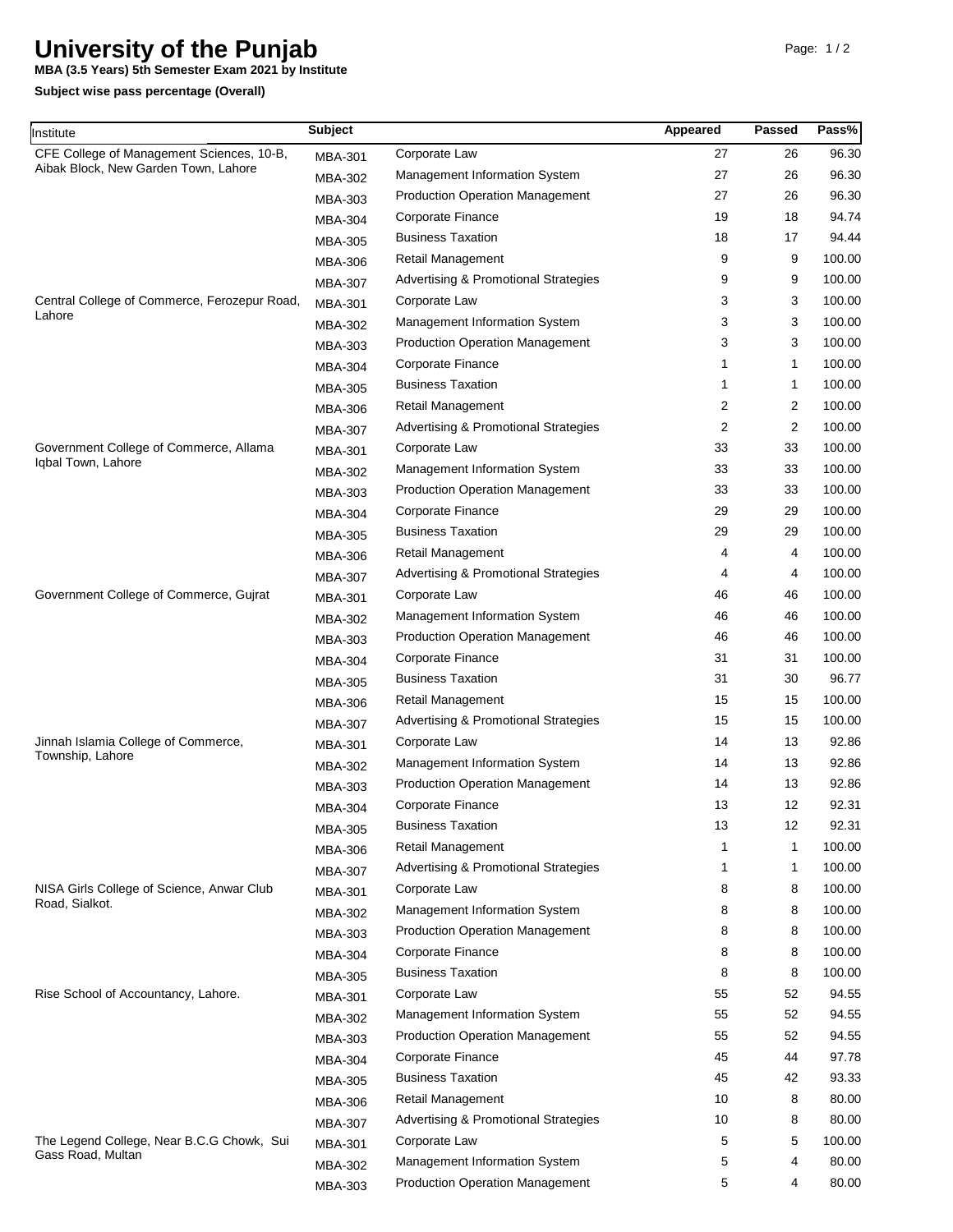## **University of the Punjab**

**MBA (3.5 Years) 5th Semester Exam 2021 by Institute**

**Subject wise pass percentage (Overall)**

| Institute                                                                         | <b>Subject</b> |                                                 | Appeared       | <b>Passed</b>  | Pass%  |
|-----------------------------------------------------------------------------------|----------------|-------------------------------------------------|----------------|----------------|--------|
| CFE College of Management Sciences, 10-B,<br>Aibak Block, New Garden Town, Lahore | <b>MBA-301</b> | Corporate Law                                   | 27             | 26             | 96.30  |
|                                                                                   | <b>MBA-302</b> | Management Information System                   | 27             | 26             | 96.30  |
|                                                                                   | MBA-303        | <b>Production Operation Management</b>          | 27             | 26             | 96.30  |
|                                                                                   | <b>MBA-304</b> | Corporate Finance                               | 19             | 18             | 94.74  |
|                                                                                   | <b>MBA-305</b> | <b>Business Taxation</b>                        | 18             | 17             | 94.44  |
|                                                                                   | <b>MBA-306</b> | Retail Management                               | 9              | 9              | 100.00 |
|                                                                                   | <b>MBA-307</b> | <b>Advertising &amp; Promotional Strategies</b> | 9              | 9              | 100.00 |
| Central College of Commerce, Ferozepur Road,<br>Lahore                            | <b>MBA-301</b> | Corporate Law                                   | 3              | 3              | 100.00 |
|                                                                                   | <b>MBA-302</b> | Management Information System                   | 3              | 3              | 100.00 |
|                                                                                   | MBA-303        | <b>Production Operation Management</b>          | 3              | 3              | 100.00 |
|                                                                                   | <b>MBA-304</b> | Corporate Finance                               | $\mathbf{1}$   | 1              | 100.00 |
|                                                                                   | <b>MBA-305</b> | <b>Business Taxation</b>                        | 1              | $\mathbf{1}$   | 100.00 |
|                                                                                   | <b>MBA-306</b> | Retail Management                               | 2              | 2              | 100.00 |
|                                                                                   | <b>MBA-307</b> | Advertising & Promotional Strategies            | $\overline{2}$ | $\overline{2}$ | 100.00 |
| Government College of Commerce, Allama<br>Iqbal Town, Lahore                      | <b>MBA-301</b> | Corporate Law                                   | 33             | 33             | 100.00 |
|                                                                                   | <b>MBA-302</b> | Management Information System                   | 33             | 33             | 100.00 |
|                                                                                   | MBA-303        | <b>Production Operation Management</b>          | 33             | 33             | 100.00 |
|                                                                                   | <b>MBA-304</b> | Corporate Finance                               | 29             | 29             | 100.00 |
|                                                                                   | <b>MBA-305</b> | <b>Business Taxation</b>                        | 29             | 29             | 100.00 |
|                                                                                   | <b>MBA-306</b> | <b>Retail Management</b>                        | 4              | 4              | 100.00 |
|                                                                                   | <b>MBA-307</b> | Advertising & Promotional Strategies            | 4              | 4              | 100.00 |
| Government College of Commerce, Gujrat                                            | <b>MBA-301</b> | Corporate Law                                   | 46             | 46             | 100.00 |
|                                                                                   | <b>MBA-302</b> | Management Information System                   | 46             | 46             | 100.00 |
|                                                                                   | MBA-303        | <b>Production Operation Management</b>          | 46             | 46             | 100.00 |
|                                                                                   | <b>MBA-304</b> | Corporate Finance                               | 31             | 31             | 100.00 |
|                                                                                   | <b>MBA-305</b> | <b>Business Taxation</b>                        | 31             | 30             | 96.77  |
|                                                                                   | <b>MBA-306</b> | Retail Management                               | 15             | 15             | 100.00 |
|                                                                                   | <b>MBA-307</b> | Advertising & Promotional Strategies            | 15             | 15             | 100.00 |
| Jinnah Islamia College of Commerce,                                               | <b>MBA-301</b> | Corporate Law                                   | 14             | 13             | 92.86  |
| Township, Lahore                                                                  | <b>MBA-302</b> | Management Information System                   | 14             | 13             | 92.86  |
|                                                                                   | <b>MBA-303</b> | <b>Production Operation Management</b>          | 14             | 13             | 92.86  |
|                                                                                   | <b>MBA-304</b> | Corporate Finance                               | 13             | 12             | 92.31  |
|                                                                                   | <b>MBA-305</b> | <b>Business Taxation</b>                        | 13             | 12             | 92.31  |
|                                                                                   | <b>MBA-306</b> | Retail Management                               |                | $\mathbf{1}$   | 100.00 |
|                                                                                   | MBA-307        | <b>Advertising &amp; Promotional Strategies</b> | 1              | $\mathbf{1}$   | 100.00 |
| NISA Girls College of Science, Anwar Club<br>Road, Sialkot.                       | MBA-301        | Corporate Law                                   | 8              | 8              | 100.00 |
|                                                                                   | MBA-302        | Management Information System                   | 8              | 8              | 100.00 |
|                                                                                   | <b>MBA-303</b> | <b>Production Operation Management</b>          | 8              | 8              | 100.00 |
|                                                                                   | <b>MBA-304</b> | Corporate Finance                               | 8              | 8              | 100.00 |
|                                                                                   | MBA-305        | <b>Business Taxation</b>                        | 8              | 8              | 100.00 |
| Rise School of Accountancy, Lahore.                                               | <b>MBA-301</b> | Corporate Law                                   | 55             | 52             | 94.55  |
|                                                                                   | <b>MBA-302</b> | Management Information System                   | 55             | 52             | 94.55  |
|                                                                                   | MBA-303        | <b>Production Operation Management</b>          | 55             | 52             | 94.55  |
|                                                                                   | <b>MBA-304</b> | Corporate Finance                               | 45             | 44             | 97.78  |
|                                                                                   | MBA-305        | <b>Business Taxation</b>                        | 45             | 42             | 93.33  |
|                                                                                   | <b>MBA-306</b> | Retail Management                               | 10             | 8              | 80.00  |
|                                                                                   | MBA-307        | <b>Advertising &amp; Promotional Strategies</b> | 10             | 8              | 80.00  |
| The Legend College, Near B.C.G Chowk, Sui<br>Gass Road, Multan                    | MBA-301        | Corporate Law                                   | 5              | 5              | 100.00 |
|                                                                                   | MBA-302        | Management Information System                   | 5              | 4              | 80.00  |
|                                                                                   | MBA-303        | <b>Production Operation Management</b>          | 5              | 4              | 80.00  |